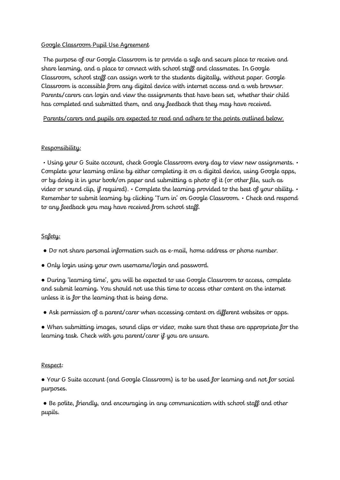## Google Classroom Pupil Use Agreement

The purpose of our Google Classroom is to provide a safe and secure place to receive and share learning, and a place to connect with school staff and classmates. In Google Classroom, school staff can assign work to the students digitally, without paper. Google Classroom is accessible from any digital device with internet access and a web browser. Parents/carers can login and view the assignments that have been set, whether their child has completed and submitted them, and any feedback that they may have received.

Parents/carers and pupils are expected to read and adhere to the points outlined below.

## Responsibility:

• Using your G Suite account, check Google Classroom every day to view new assignments. • Complete your learning online by either completing it on a digital device, using Google apps, or by doing it in your book/on paper and submitting a photo of it (or other file, such as video or sound clip, if required). • Complete the learning provided to the best of your ability. • Remember to submit learning by clicking 'Turn in' on Google Classroom. • Check and respond to any feedback you may have received from school staff.

## Safety:

- Do not share personal information such as e-mail, home address or phone number.
- Only login using your own username/login and password.

● During 'learning time', you will be expected to use Google Classroom to access, complete and submit learning. You should not use this time to access other content on the internet unless it is for the learning that is being done.

● Ask permission of a parent/carer when accessing content on different websites or apps.

● When submitting images, sound clips or video, make sure that these are appropriate for the learning task. Check with you parent/carer if you are unsure.

## Respect:

● Your G Suite account (and Google Classroom) is to be used for learning and not for social purposes.

• Be polite, friendly, and encouraging in any communication with school staff and other pupils.